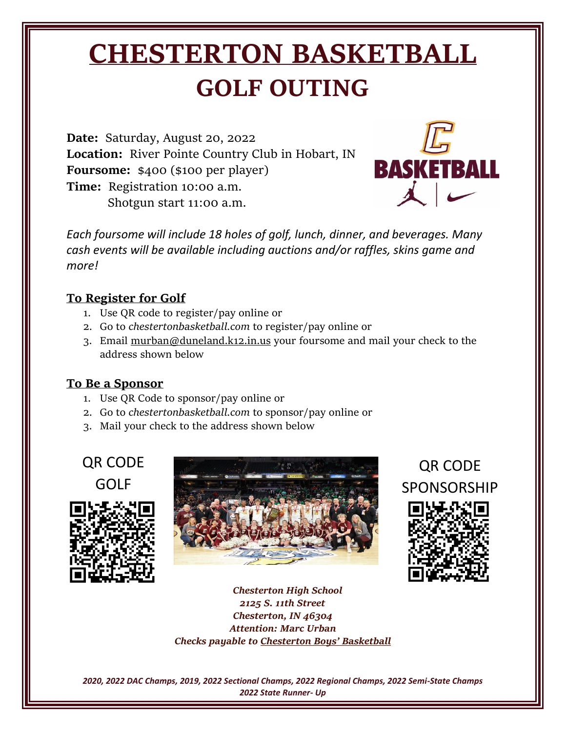# **CHESTERTON BASKETBALL GOLF OUTING**

**Date:** Saturday, August 20, 2022 **Location:** River Pointe Country Club in Hobart, IN **Foursome:** \$400 (\$100 per player) **Time:**Registration 10:00 a.m. Shotgun start 11:00 a.m.



*Each foursome will include 18 holes of golf, lunch, dinner, and beverages. Many cash events will be available including auctions and/or raffles, skins game and more!* 

#### **To Register for Golf**

- 1. Use QR code to register/pay online or
- 2. Go to *chestertonbasketball.com* to register/pay online or
- 3. Email [murban@duneland.k12.in.us](mailto:murban@duneland.k12.in.us) your foursome and mail your check to the address shown below

#### **To Be a Sponsor**

- 1. Use QR Code to sponsor/pay online or
- 2. Go to *chestertonbasketball.com* to sponsor/pay online or
- 3. Mail your check to the address shown below

## QR CODE GOLF





QR CODE SPONSORSHIP



*Chesterton High School 2125 S. 11th Street Chesterton, IN 46304 Attention: Marc Urban Checks payable to Chesterton Boys' Basketball*

*2020, 2022 DAC Champs, 2019, 2022 Sectional Champs, 2022 Regional Champs, 2022 Semi-State Champs 2022 State Runner- Up*